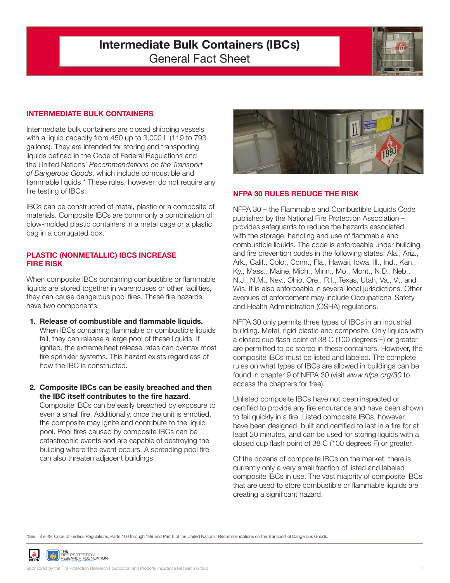# **Intermediate Bulk Containers (IBCs)** General Fact Sheet



## **INTERMEDIATE BULK CONTAINERS**

Intermediate bulk containers are closed shipping vessels with a liquid capacity from 450 up to 3,000 L (119 to 793 gallons). They are intended for storing and transporting liquids defined in the Code of Federal Regulations and the United Nations' *Recommendations on the Transport of Dangerous Goods*, which include combustible and flammable liquids.\* These rules, however, do not require any fire testing of IBCs.

IBCs can be constructed of metal, plastic or a composite of materials. Composite IBCs are commonly a combination of blow-molded plastic containers in a metal cage or a plastic bag in a corrugated box.

#### **PLASTIC (NONMETALLIC) IBCS INCREASE FIRE RISK**

When composite IBCs containing combustible or flammable liquids are stored together in warehouses or other facilities, they can cause dangerous pool fires. These fire hazards have two components:

- **1. Release of combustible and flammable liquids.** When IBCs containing flammable or combustible liquids fail, they can release a large pool of these liquids. If ignited, the extreme heat release rates can overtax most fire sprinkler systems. This hazard exists regardless of how the IBC is constructed.
- **2. Composite IBCs can be easily breached and then the IBC itself contributes to the fire hazard.**

Composite IBCs can be easily breached by exposure to even a small fire. Additionally, once the unit is emptied, the composite may ignite and contribute to the liquid pool. Pool fires caused by composite IBCs can be catastrophic events and are capable of destroying the building where the event occurs. A spreading pool fire can also threaten adjacent buildings.



## **NFPA 30 RULES REDUCE THE RISK**

NFPA 30 – the Flammable and Combustible Liquids Code published by the National Fire Protection Association – provides safeguards to reduce the hazards associated with the storage, handling and use of flammable and combustible liquids. The code is enforceable under building and fire prevention codes in the following states: Ala., Ariz., Ark., Calif., Colo., Conn., Fla., Hawaii, Iowa, Ill., Ind., Kan., Ky., Mass., Maine, Mich., Minn., Mo., Mont., N.D., Neb., N.J., N.M., Nev., Ohio, Ore., R.I., Texas, Utah, Va., Vt. and Wis. It is also enforceable in several local jurisdictions. Other avenues of enforcement may include Occupational Safety and Health Administration (OSHA) regulations.

NFPA 30 only permits three types of IBCs in an industrial building. Metal, rigid plastic and composite. Only liquids with a closed cup flash point of 38 C (100 degrees F) or greater are permitted to be stored in these containers. However, the composite IBCs must be listed and labeled. The complete rules on what types of IBCs are allowed in buildings can be found in chapter 9 of NFPA 30 (visit *www.nfpa.org/30* to access the chapters for free).

Unlisted composite IBCs have not been inspected or certified to provide any fire endurance and have been shown to fail quickly in a fire. Listed composite IBCs, however, have been designed, built and certified to last in a fire for at least 20 minutes, and can be used for storing liquids with a closed cup flash point of 38 C (100 degrees F) or greater.

Of the dozens of composite IBCs on the market, there is currently only a very small fraction of listed and labeled composite IBCs in use. The vast majority of composite IBCs that are used to store combustible or flammable liquids are creating a significant hazard.

\*See: Title 49, Code of Federal Regulations, Parts 100 through 199 and Part 6 of the United Nations' Recommendations on the Transport of Dangerous Goods.